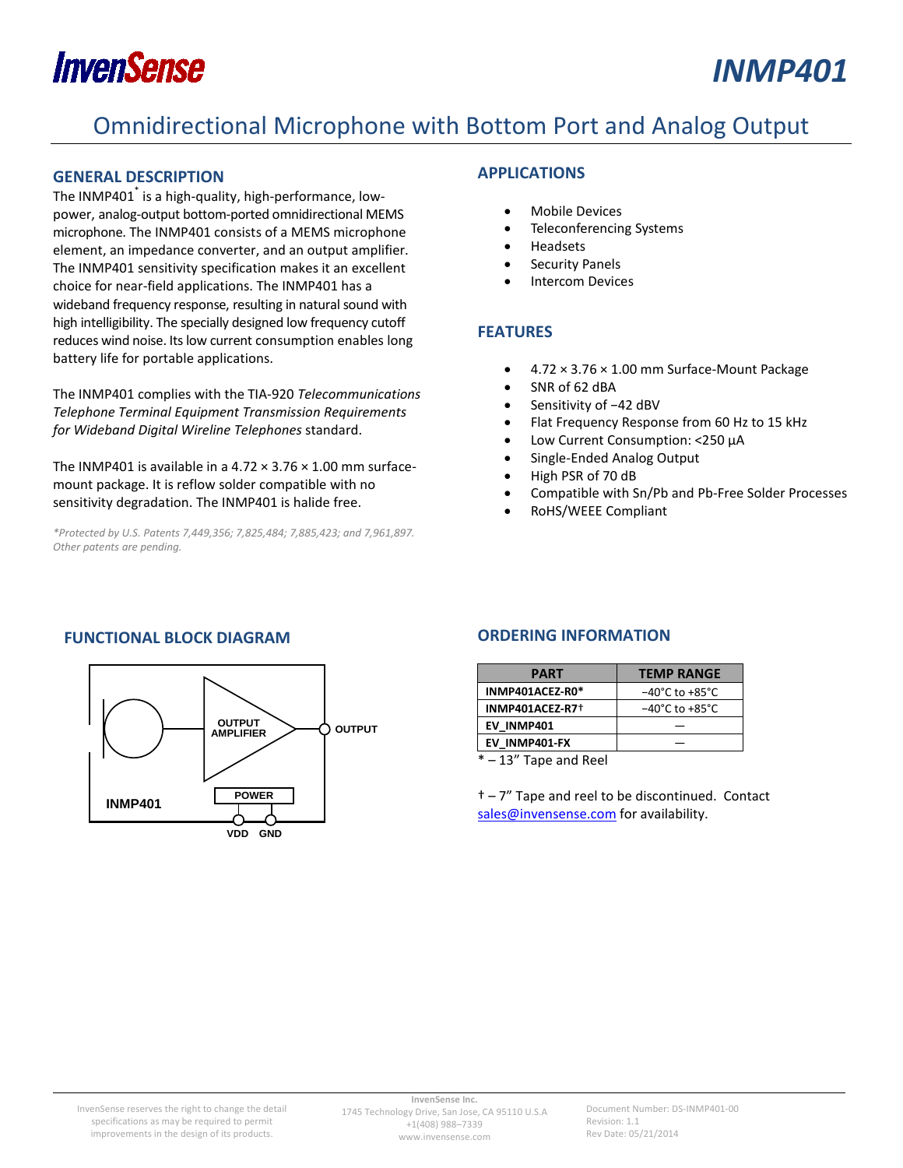# **InvenSense**

## *INMP401*

### Omnidirectional Microphone with Bottom Port and Analog Output

#### <span id="page-0-0"></span>**GENERAL DESCRIPTION**

The INMP401<sup>\*</sup> is a high-quality, high-performance, lowpower, analog-output bottom-ported omnidirectional MEMS microphone. The INMP401 consists of a MEMS microphone element, an impedance converter, and an output amplifier. The INMP401 sensitivity specification makes it an excellent choice for near-field applications. The INMP401 has a wideband frequency response, resulting in natural sound with high intelligibility. The specially designed low frequency cutoff reduces wind noise. Its low current consumption enables long battery life for portable applications.

The INMP401 complies with the TIA-920 *Telecommunications Telephone Terminal Equipment Transmission Requirements for Wideband Digital Wireline Telephones* standard.

The INMP401 is available in a 4.72  $\times$  3.76  $\times$  1.00 mm surfacemount package. It is reflow solder compatible with no sensitivity degradation. The INMP401 is halide free.

*\*Protected by U.S. Patents 7,449,356; 7,825,484; 7,885,423; and 7,961,897. Other patents are pending.*

### <span id="page-0-1"></span>**APPLICATIONS**

- Mobile Devices
- Teleconferencing Systems
- Headsets
- Security Panels
- **Intercom Devices**

### <span id="page-0-2"></span>**FEATURES**

- 4.72 × 3.76 × 1.00 mm Surface-Mount Package
- SNR of 62 dBA
- Sensitivity of −42 dBV
- Flat Frequency Response from 60 Hz to 15 kHz
- Low Current Consumption: <250 µA
- Single-Ended Analog Output
- High PSR of 70 dB
- Compatible with Sn/Pb and Pb-Free Solder Processes
- RoHS/WEEE Compliant

### **FUNCTIONAL BLOCK DIAGRAM**



### <span id="page-0-3"></span>**ORDERING INFORMATION**

| <b>PART</b>     | <b>TEMP RANGE</b>                  |
|-----------------|------------------------------------|
| INMP401ACEZ-R0* | $-40^{\circ}$ C to $+85^{\circ}$ C |
| INMP401ACEZ-R7+ | $-40^{\circ}$ C to $+85^{\circ}$ C |
| EV INMP401      |                                    |
| EV INMP401-FX   |                                    |

\* – 13" Tape and Reel

† – 7" Tape and reel to be discontinued. Contact [sales@invensense.com](mailto:sales@invensense.com) for availability.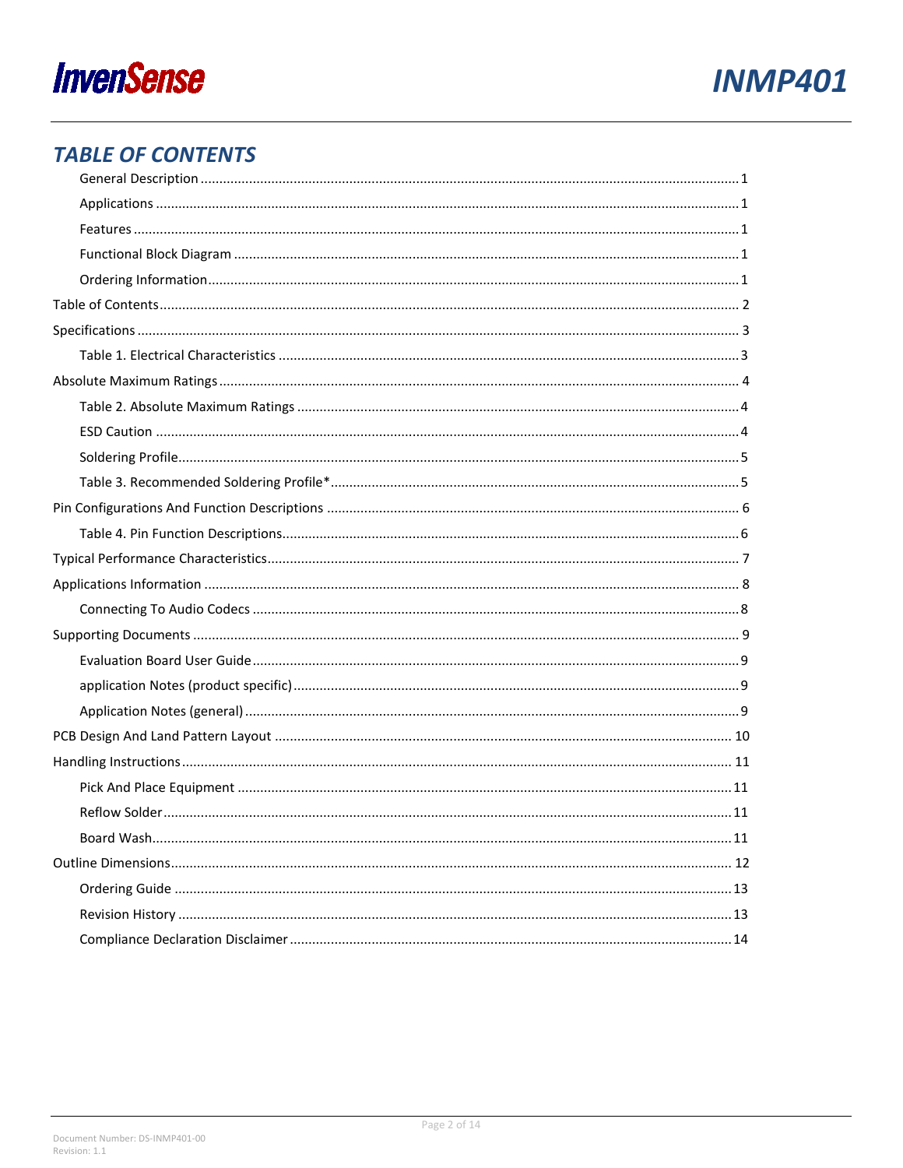



### <span id="page-1-0"></span>**TABLE OF CONTENTS**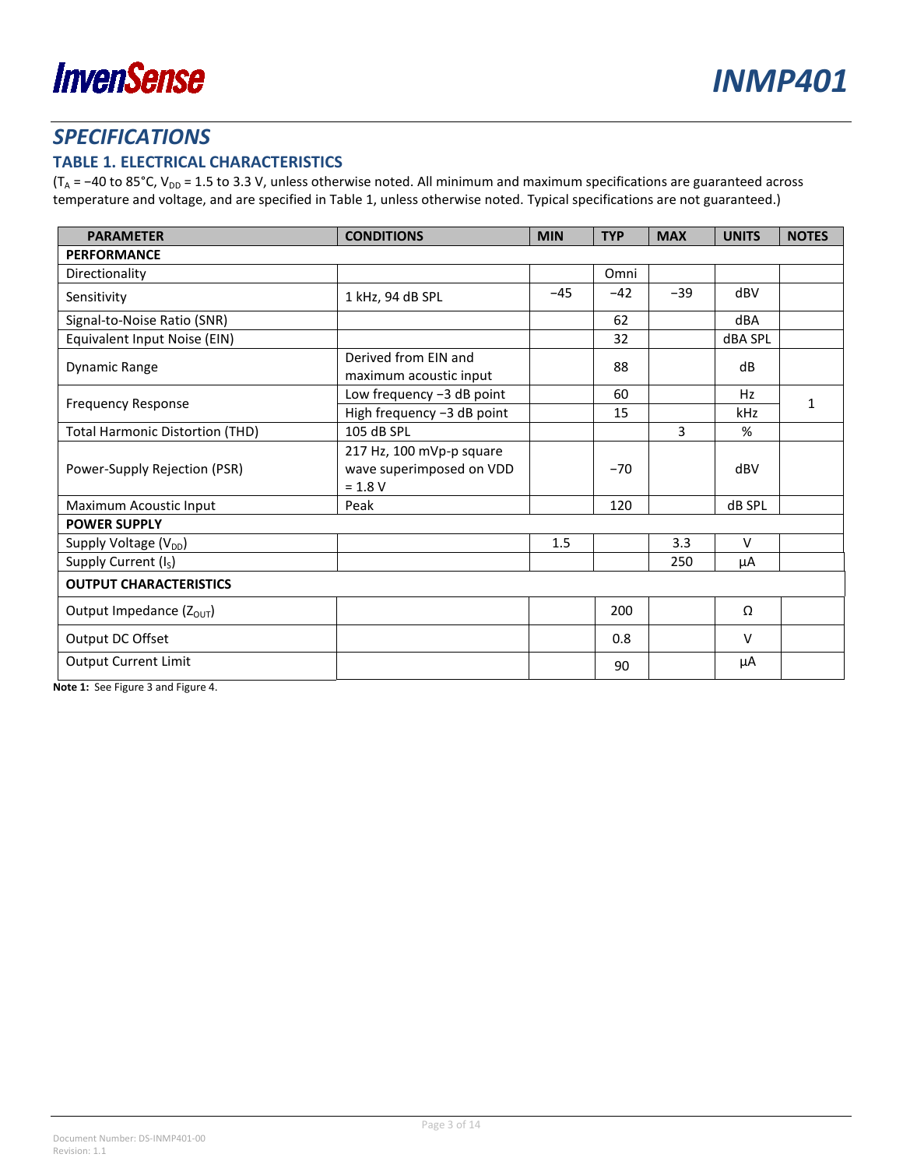

### <span id="page-2-0"></span>*SPECIFICATIONS*

### <span id="page-2-1"></span>**TABLE 1. ELECTRICAL CHARACTERISTICS**

(T<sub>A</sub> = −40 to 85°C, V<sub>DD</sub> = 1.5 to 3.3 V, unless otherwise noted. All minimum and maximum specifications are guaranteed across temperature and voltage, and are specified i[n Table](#page-2-1) 1, unless otherwise noted. Typical specifications are not guaranteed.)

| <b>PARAMETER</b>                       | <b>CONDITIONS</b>                                                 | <b>MIN</b> | <b>TYP</b> | <b>MAX</b> | <b>UNITS</b>   | <b>NOTES</b> |  |
|----------------------------------------|-------------------------------------------------------------------|------------|------------|------------|----------------|--------------|--|
| <b>PERFORMANCE</b>                     |                                                                   |            |            |            |                |              |  |
| Directionality                         |                                                                   |            | Omni       |            |                |              |  |
| Sensitivity                            | 1 kHz, 94 dB SPL                                                  | $-45$      | $-42$      | $-39$      | dBV            |              |  |
| Signal-to-Noise Ratio (SNR)            |                                                                   |            | 62         |            | dBA            |              |  |
| Equivalent Input Noise (EIN)           |                                                                   |            | 32         |            | <b>dBA SPL</b> |              |  |
| <b>Dynamic Range</b>                   | Derived from EIN and<br>maximum acoustic input                    |            | 88         |            | dB             |              |  |
| <b>Frequency Response</b>              | Low frequency -3 dB point                                         |            | 60         |            | Hz             | 1            |  |
|                                        | High frequency -3 dB point                                        |            | 15         |            | kHz            |              |  |
| <b>Total Harmonic Distortion (THD)</b> | 105 dB SPL                                                        |            |            | 3          | %              |              |  |
| Power-Supply Rejection (PSR)           | 217 Hz, 100 mVp-p square<br>wave superimposed on VDD<br>$= 1.8 V$ |            | $-70$      |            | dBV            |              |  |
| Maximum Acoustic Input                 | Peak                                                              |            | 120        |            | dB SPL         |              |  |
| <b>POWER SUPPLY</b>                    |                                                                   |            |            |            |                |              |  |
| Supply Voltage $(V_{DD})$              |                                                                   | 1.5        |            | 3.3        | $\vee$         |              |  |
| Supply Current (I <sub>S</sub> )       |                                                                   |            |            | 250        | μA             |              |  |
| <b>OUTPUT CHARACTERISTICS</b>          |                                                                   |            |            |            |                |              |  |
| Output Impedance (Z <sub>OUT</sub> )   |                                                                   |            | 200        |            | Ω              |              |  |
| Output DC Offset                       |                                                                   |            | 0.8        |            | $\vee$         |              |  |
| <b>Output Current Limit</b>            |                                                                   |            | 90         |            | μA             |              |  |

**Note 1:** See [Figure 3](#page-6-1) an[d Figure 4.](#page-6-2)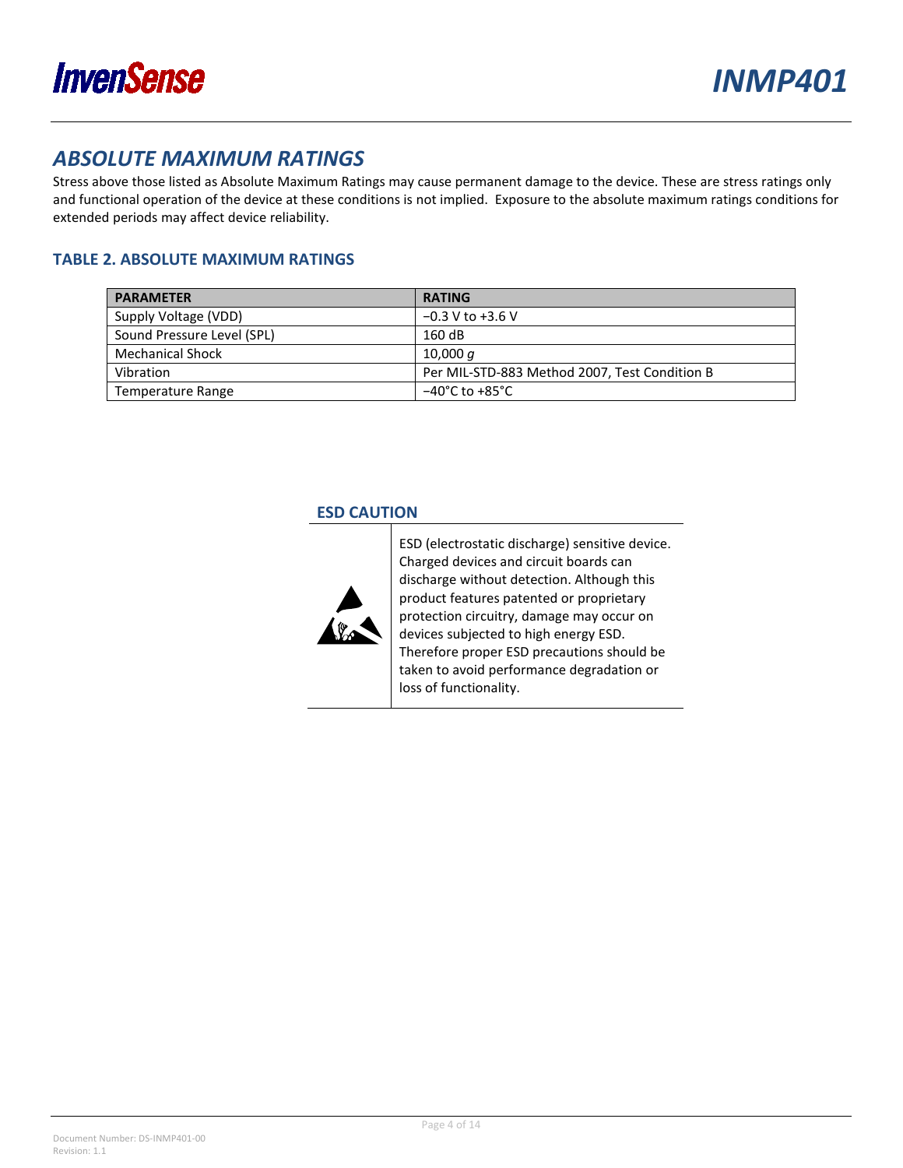

### <span id="page-3-0"></span>*ABSOLUTE MAXIMUM RATINGS*

Stress above those listed as Absolute Maximum Ratings may cause permanent damage to the device. These are stress ratings only and functional operation of the device at these conditions is not implied. Exposure to the absolute maximum ratings conditions for extended periods may affect device reliability.

### <span id="page-3-1"></span>**TABLE 2. ABSOLUTE MAXIMUM RATINGS**

| <b>PARAMETER</b>           | <b>RATING</b>                                 |
|----------------------------|-----------------------------------------------|
| Supply Voltage (VDD)       | $-0.3$ V to +3.6 V                            |
| Sound Pressure Level (SPL) | 160dB                                         |
| <b>Mechanical Shock</b>    | 10,000 $q$                                    |
| Vibration                  | Per MIL-STD-883 Method 2007, Test Condition B |
| Temperature Range          | $-40^{\circ}$ C to $+85^{\circ}$ C            |

### **ESD CAUTION**



ESD (electrostatic discharge) sensitive device. Charged devices and circuit boards can discharge without detection. Although this product features patented or proprietary protection circuitry, damage may occur on devices subjected to high energy ESD. Therefore proper ESD precautions should be taken to avoid performance degradation or loss of functionality.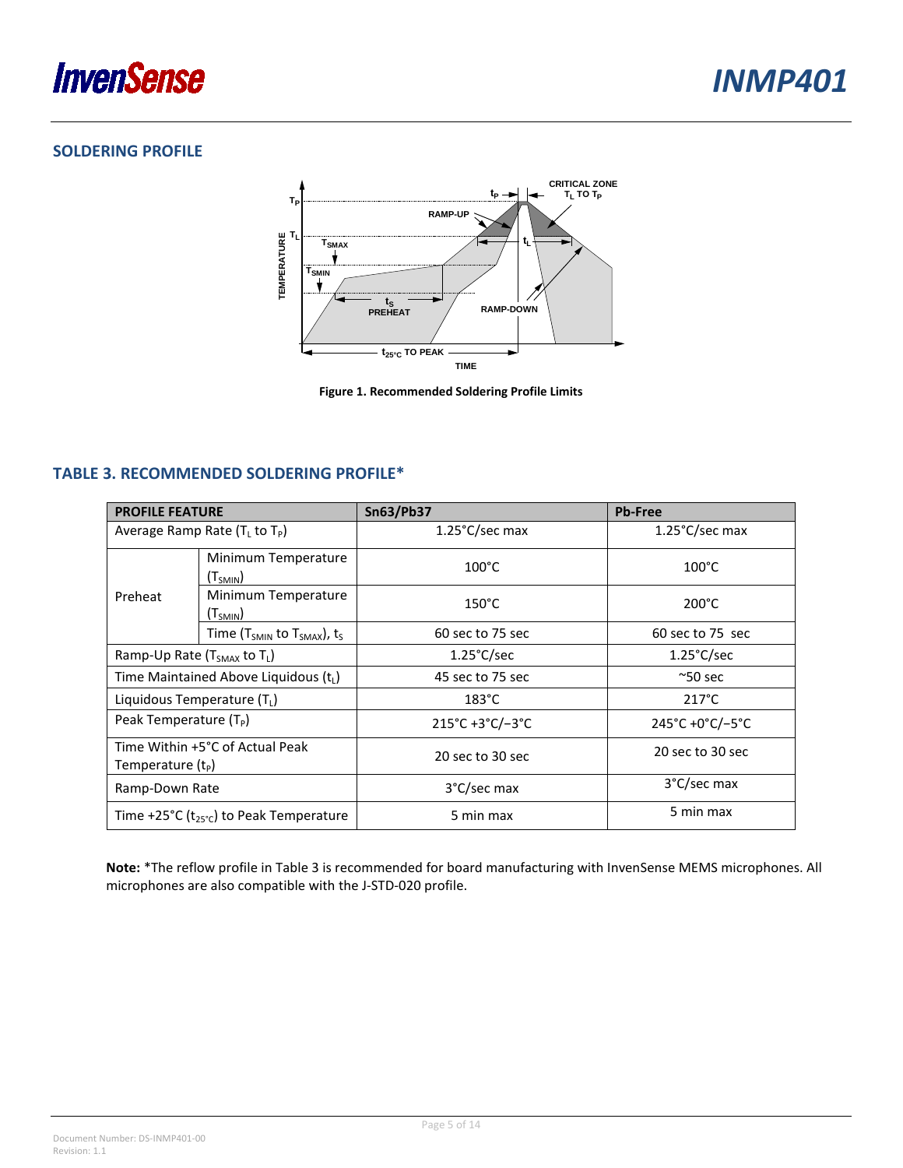

### <span id="page-4-0"></span>**SOLDERING PROFILE**



**Figure 1. Recommended Soldering Profile Limits**

### <span id="page-4-1"></span>**TABLE 3. RECOMMENDED SOLDERING PROFILE\***

| <b>PROFILE FEATURE</b>                              |                                             | <b>Sn63/Pb37</b>                                | <b>Pb-Free</b>           |  |
|-----------------------------------------------------|---------------------------------------------|-------------------------------------------------|--------------------------|--|
| Average Ramp Rate $(TL$ to $TP)$                    |                                             | $1.25^{\circ}$ C/sec max                        | $1.25^{\circ}$ C/sec max |  |
| Preheat                                             | Minimum Temperature<br>(T <sub>SMIN</sub> ) | $100^{\circ}$ C                                 | $100^{\circ}$ C          |  |
|                                                     | Minimum Temperature<br>$(T_{SMIN})$         | $150^{\circ}$ C                                 | $200^{\circ}$ C          |  |
|                                                     | Time ( $T_{SMIN}$ to $T_{SMAX}$ ), $t_S$    | 60 sec to 75 sec                                | 60 sec to 75 sec         |  |
| Ramp-Up Rate (T <sub>SMAX</sub> to T <sub>L</sub> ) |                                             | $1.25^{\circ}$ C/sec                            | $1.25^{\circ}$ C/sec     |  |
| Time Maintained Above Liquidous $(tL)$              |                                             | 45 sec to 75 sec                                | $^{\sim}$ 50 sec         |  |
| Liquidous Temperature $(T_1)$                       |                                             | $183^{\circ}$ C                                 | $217^{\circ}$ C          |  |
| Peak Temperature $(T_P)$                            |                                             | $215^{\circ}$ C +3 $^{\circ}$ C/-3 $^{\circ}$ C | 245°C +0°C/-5°C          |  |
| Temperature $(t_P)$                                 | Time Within +5°C of Actual Peak             | 20 sec to 30 sec                                | 20 sec to 30 sec         |  |
| Ramp-Down Rate                                      |                                             | 3°C/sec max                                     | 3°C/sec max              |  |
| Time +25°C ( $t_{25}$ °c) to Peak Temperature       |                                             | 5 min max                                       | 5 min max                |  |

**Note:** \*The reflow profile in Table 3 is recommended for board manufacturing with InvenSense MEMS microphones. All microphones are also compatible with the J-STD-020 profile.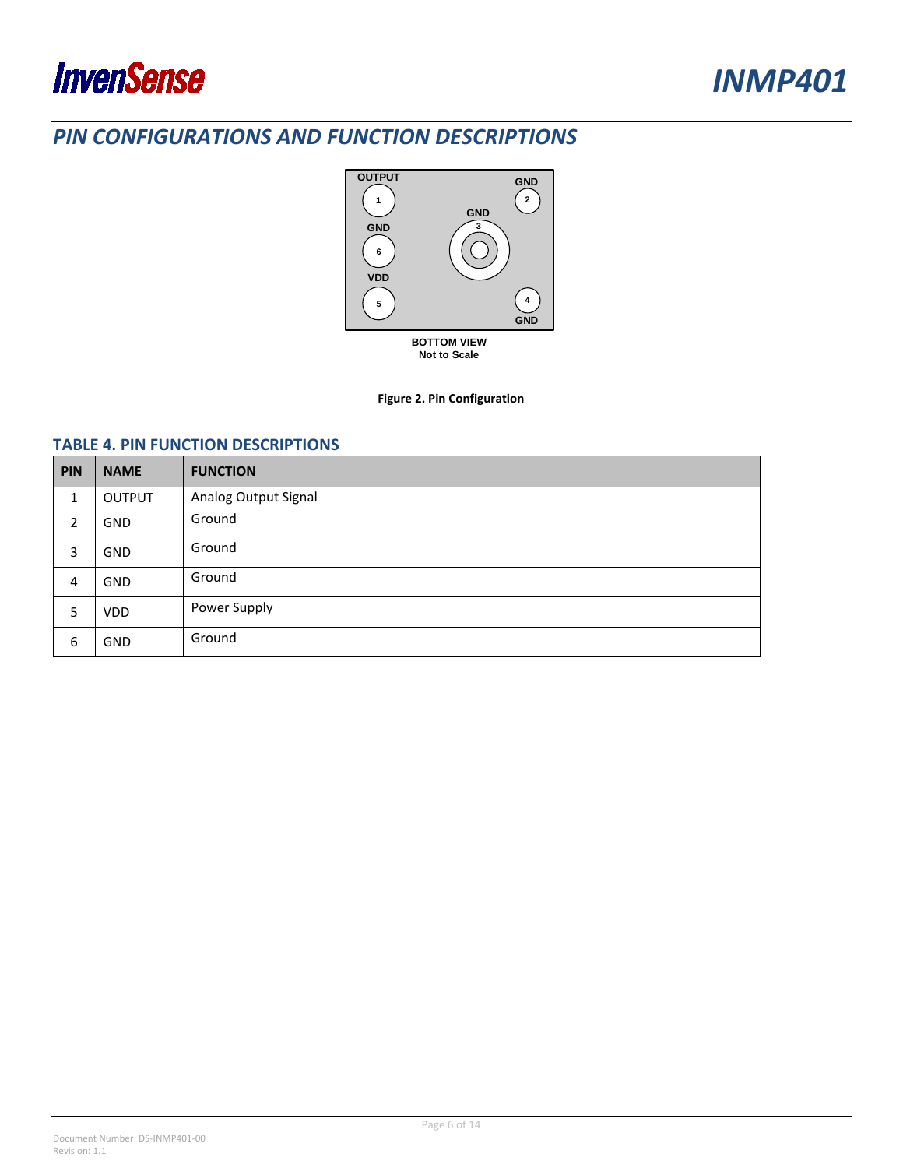

### <span id="page-5-0"></span>*PIN CONFIGURATIONS AND FUNCTION DESCRIPTIONS*



#### **Figure 2. Pin Configuration**

#### <span id="page-5-1"></span>**TABLE 4. PIN FUNCTION DESCRIPTIONS**

| PIN | <b>NAME</b> | <b>FUNCTION</b>      |
|-----|-------------|----------------------|
| 1   | OUTPUT      | Analog Output Signal |
| 2   | GND         | Ground               |
| 3   | <b>GND</b>  | Ground               |
| 4   | <b>GND</b>  | Ground               |
| 5   | <b>VDD</b>  | Power Supply         |
| 6   | GND         | Ground               |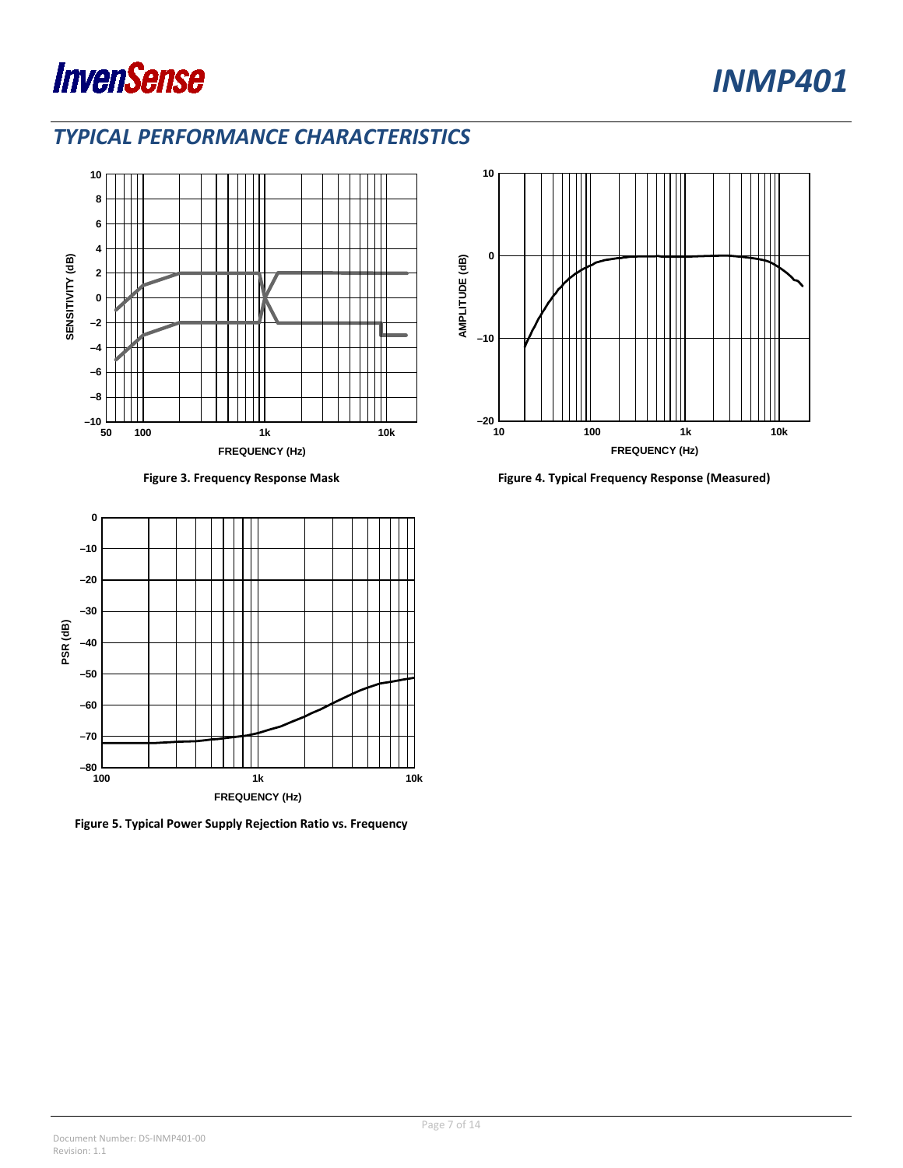



### <span id="page-6-0"></span>*TYPICAL PERFORMANCE CHARACTERISTICS*



<span id="page-6-2"></span>

<span id="page-6-1"></span>

**Figure 5. Typical Power Supply Rejection Ratio vs. Frequency**



**Figure 3. Frequency Response Mask Figure 4. Typical Frequency Response (Measured)**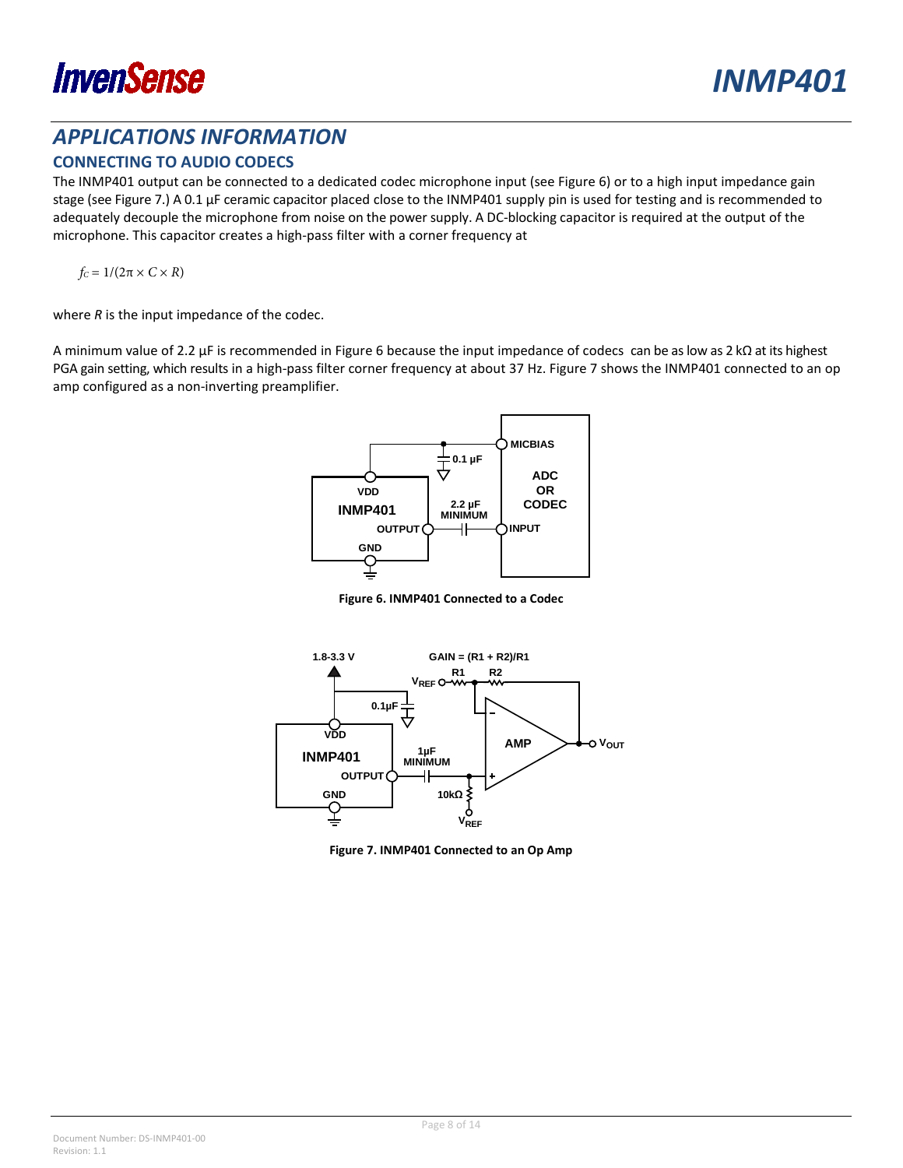

### <span id="page-7-0"></span>*APPLICATIONS INFORMATION*

### <span id="page-7-1"></span>**CONNECTING TO AUDIO CODECS**

The INMP401 output can be connected to a dedicated codec microphone input (see Figure 6) or to a high input impedance gain stage (see Figure 7.) A 0.1 µF ceramic capacitor placed close to the INMP401 supply pin is used for testing and is recommended to adequately decouple the microphone from noise on the power supply. A DC-blocking capacitor is required at the output of the microphone. This capacitor creates a high-pass filter with a corner frequency at

 $f_C = 1/(2\pi \times C \times R)$ 

where *R* is the input impedance of the codec.

A minimum value of 2.2 µF is recommended in Figure 6 because the input impedance of codecs can be as low as 2 kΩ at its highest PGA gain setting, which results in a high-pass filter corner frequency at about 37 Hz. Figure 7 shows the INMP401 connected to an op amp configured as a non-inverting preamplifier.



**Figure 6. INMP401 Connected to a Codec**



**Figure 7. INMP401 Connected to an Op Amp**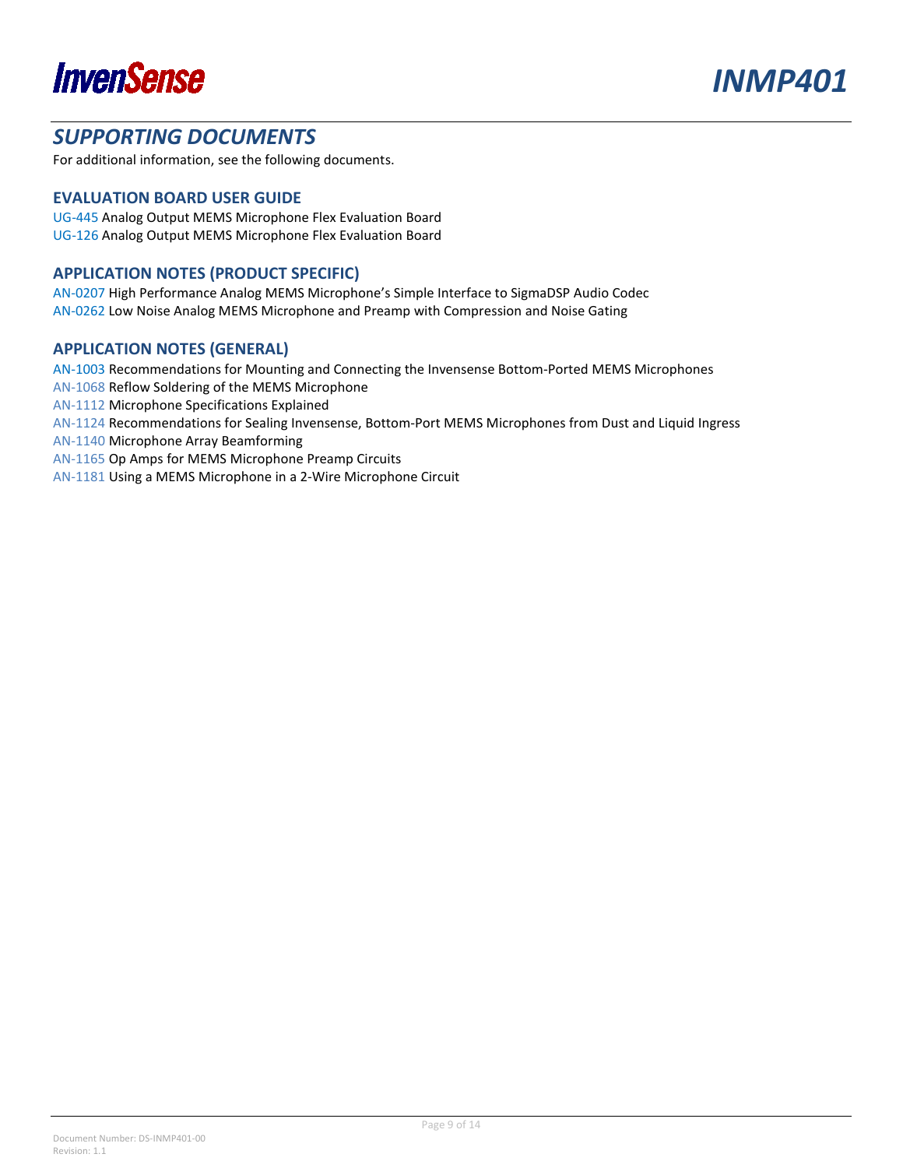



### <span id="page-8-0"></span>*SUPPORTING DOCUMENTS*

For additional information, see the following documents.

#### <span id="page-8-1"></span>**EVALUATION BOARD USER GUIDE**

UG-445 Analog Output MEMS Microphone Flex Evaluation Board UG-126 Analog Output MEMS Microphone Flex Evaluation Board

#### <span id="page-8-2"></span>**APPLICATION NOTES (PRODUCT SPECIFIC)**

AN-0207 High Performance Analog MEMS Microphone's Simple Interface to SigmaDSP Audio Codec AN-0262 Low Noise Analog MEMS Microphone and Preamp with Compression and Noise Gating

#### <span id="page-8-3"></span>**APPLICATION NOTES (GENERAL)**

AN-1003 Recommendations for Mounting and Connecting the Invensense Bottom-Ported MEMS Microphones

AN-1068 Reflow Soldering of the MEMS Microphone

AN-1112 Microphone Specifications Explained

AN-1124 Recommendations for Sealing Invensense, Bottom-Port MEMS Microphones from Dust and Liquid Ingress

AN-1140 Microphone Array Beamforming

AN-1165 Op Amps for MEMS Microphone Preamp Circuits

AN-1181 Using a MEMS Microphone in a 2-Wire Microphone Circuit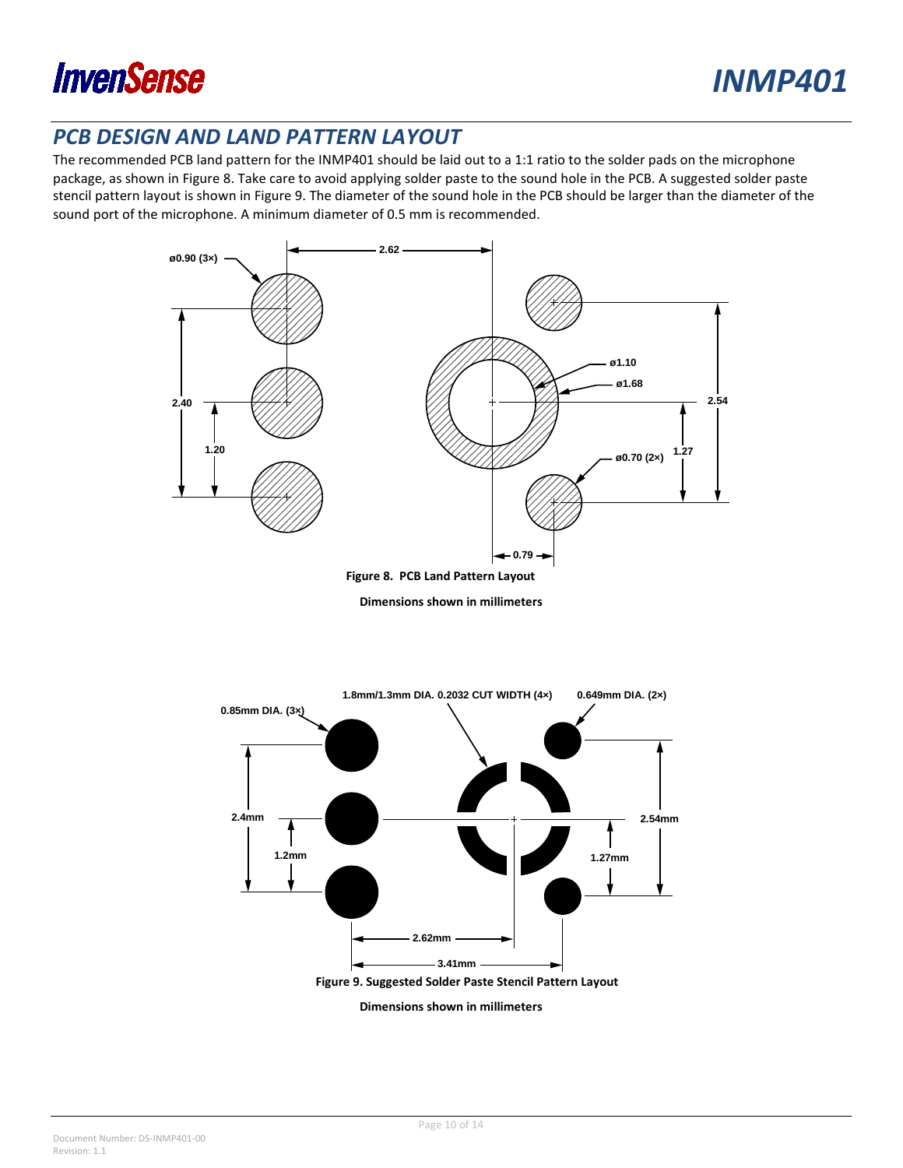

### <span id="page-9-0"></span>*PCB DESIGN AND LAND PATTERN LAYOUT*

The recommended PCB land pattern for the INMP401 should be laid out to a 1:1 ratio to the solder pads on the microphone package, as shown in Figure 8. Take care to avoid applying solder paste to the sound hole in the PCB. A suggested solder paste stencil pattern layout is shown in Figure 9. The diameter of the sound hole in the PCB should be larger than the diameter of the sound port of the microphone. A minimum diameter of 0.5 mm is recommended.



**Figure 8. PCB Land Pattern Layout**

**Dimensions shown in millimeters**

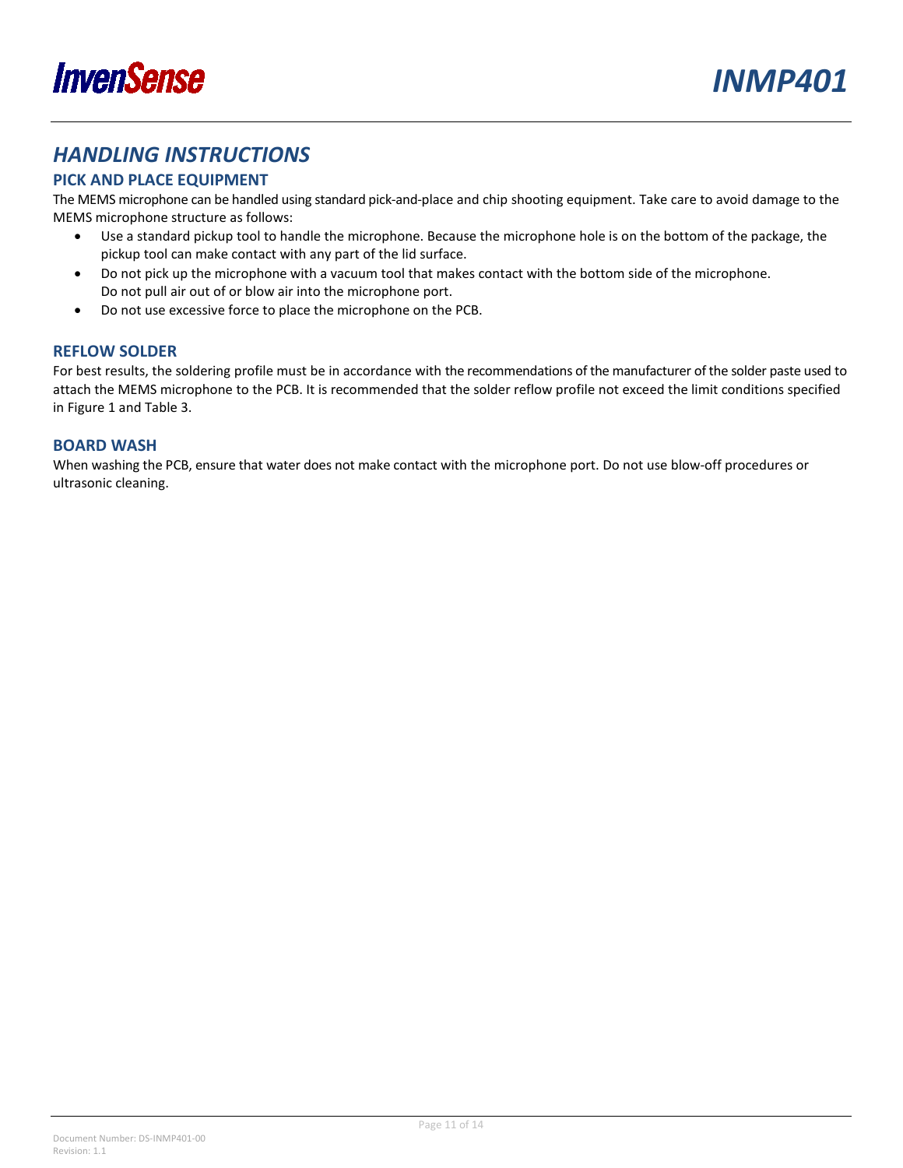

### <span id="page-10-0"></span>*HANDLING INSTRUCTIONS*

### <span id="page-10-1"></span>**PICK AND PLACE EQUIPMENT**

The MEMS microphone can be handled using standard pick-and-place and chip shooting equipment. Take care to avoid damage to the MEMS microphone structure as follows:

- Use a standard pickup tool to handle the microphone. Because the microphone hole is on the bottom of the package, the pickup tool can make contact with any part of the lid surface.
- Do not pick up the microphone with a vacuum tool that makes contact with the bottom side of the microphone. Do not pull air out of or blow air into the microphone port.
- Do not use excessive force to place the microphone on the PCB.

### <span id="page-10-2"></span>**REFLOW SOLDER**

For best results, the soldering profile must be in accordance with the recommendations of the manufacturer of the solder paste used to attach the MEMS microphone to the PCB. It is recommended that the solder reflow profile not exceed the limit conditions specified in Figure 1 and [Table 3.](#page-4-1)

#### <span id="page-10-3"></span>**BOARD WASH**

When washing the PCB, ensure that water does not make contact with the microphone port. Do not use blow-off procedures or ultrasonic cleaning.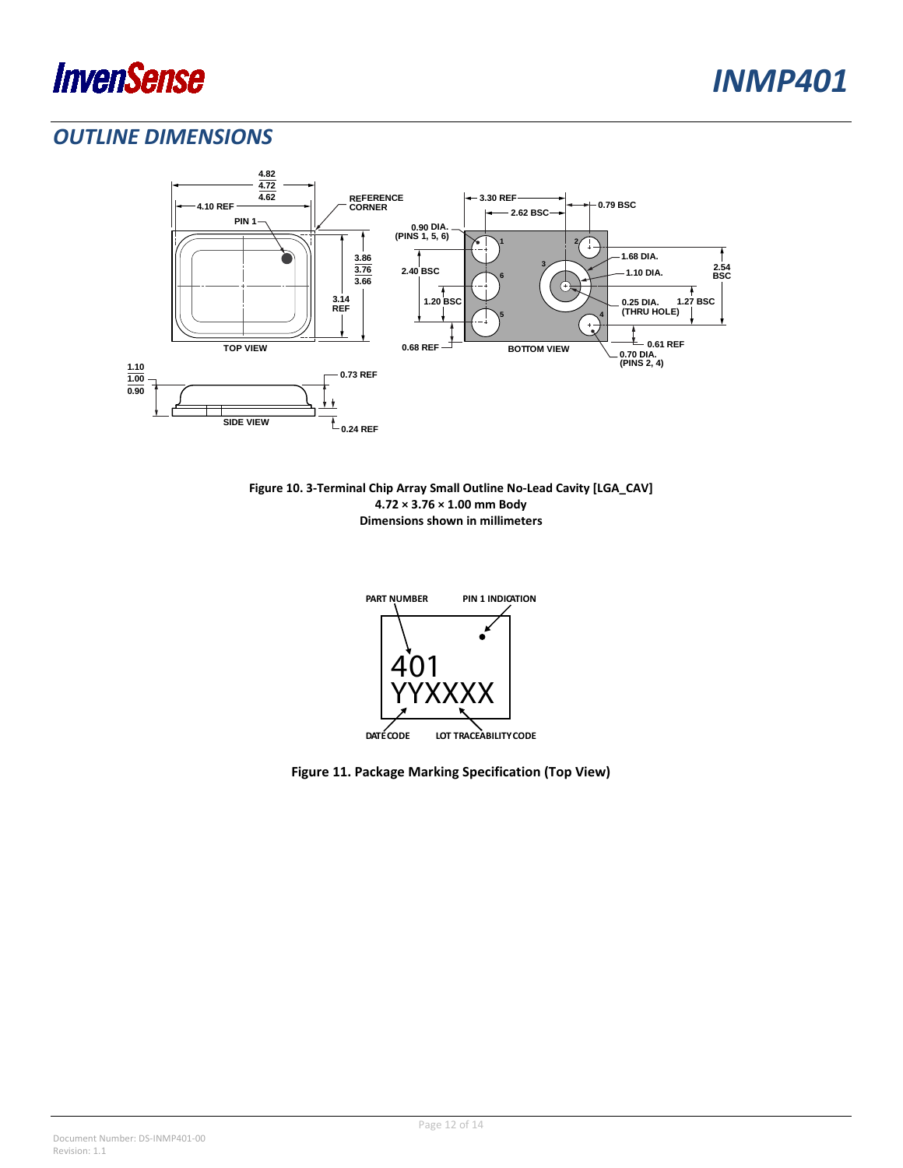

### <span id="page-11-0"></span>*OUTLINE DIMENSIONS*



**Figure 10. 3-Terminal Chip Array Small Outline No-Lead Cavity [LGA\_CAV] 4.72 × 3.76 × 1.00 mm Body Dimensions shown in millimeters**



**Figure 11. Package Marking Specification (Top View)**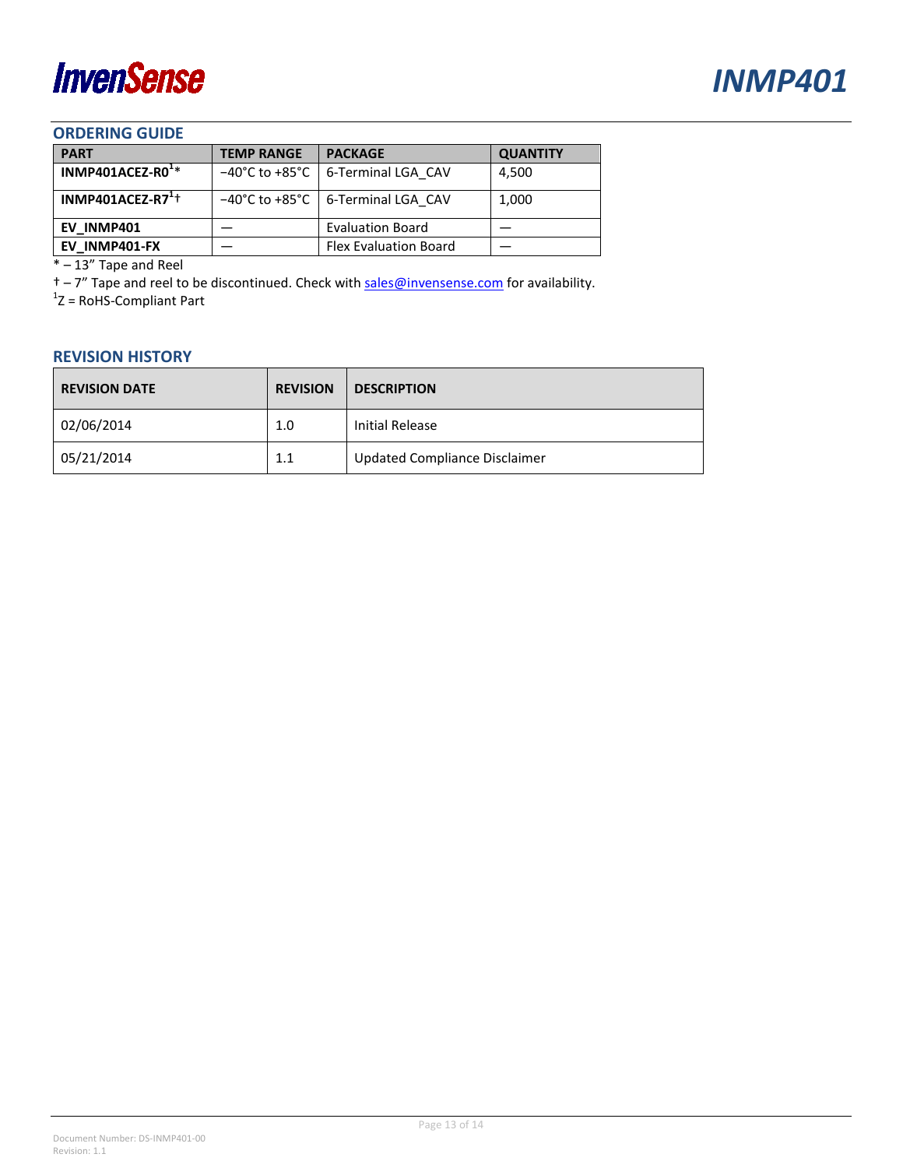

#### <span id="page-12-0"></span>**ORDERING GUIDE**

| <b>PART</b>                  | <b>TEMP RANGE</b> | <b>PACKAGE</b>                      | <b>QUANTITY</b> |
|------------------------------|-------------------|-------------------------------------|-----------------|
| INMP401ACEZ-R0 <sup>1*</sup> |                   | -40°C to +85°C   6-Terminal LGA CAV | 4,500           |
| INMP401ACEZ-R7 $^{1+}$       |                   | -40°C to +85°C   6-Terminal LGA CAV | 1,000           |
| EV INMP401                   |                   | <b>Evaluation Board</b>             |                 |
| EV INMP401-FX                |                   | <b>Flex Evaluation Board</b>        |                 |

\* – 13" Tape and Reel

 $\dagger$  – 7" Tape and reel to be discontinued. Check with [sales@invensense.com](mailto:sales@invensense.com)</u> for availability.

 $1$ Z = RoHS-Compliant Part

#### <span id="page-12-1"></span>**REVISION HISTORY**

| <b>REVISION DATE</b> | <b>REVISION</b> | <b>DESCRIPTION</b>            |
|----------------------|-----------------|-------------------------------|
| 02/06/2014           | 1.0             | Initial Release               |
| 05/21/2014           | 1.1             | Updated Compliance Disclaimer |